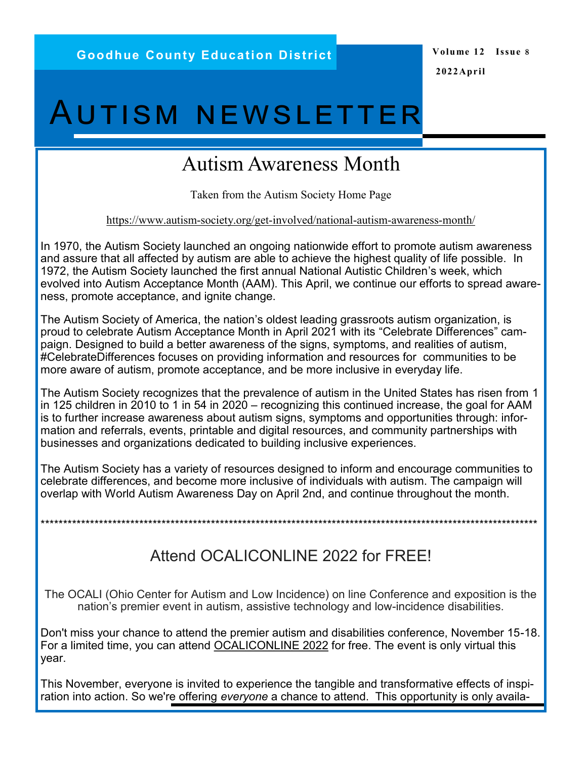# **AUTISM NEWSLETTER**

## **Autism Awareness Month**

Taken from the Autism Society Home Page

https://www.autism-society.org/get-involved/national-autism-awareness-month/

In 1970, the Autism Society launched an ongoing nationwide effort to promote autism awareness and assure that all affected by autism are able to achieve the highest quality of life possible. In 1972, the Autism Society launched the first annual National Autistic Children's week, which evolved into Autism Acceptance Month (AAM). This April, we continue our efforts to spread awareness, promote acceptance, and ignite change.

The Autism Society of America, the nation's oldest leading grassroots autism organization, is proud to celebrate Autism Acceptance Month in April 2021 with its "Celebrate Differences" campaign. Designed to build a better awareness of the signs, symptoms, and realities of autism, #CelebrateDifferences focuses on providing information and resources for communities to be more aware of autism, promote acceptance, and be more inclusive in everyday life.

The Autism Society recognizes that the prevalence of autism in the United States has risen from 1 in 125 children in 2010 to 1 in 54 in 2020 – recognizing this continued increase, the goal for AAM is to further increase awareness about autism signs, symptoms and opportunities through: information and referrals, events, printable and digital resources, and community partnerships with businesses and organizations dedicated to building inclusive experiences.

The Autism Society has a variety of resources designed to inform and encourage communities to celebrate differences, and become more inclusive of individuals with autism. The campaign will overlap with World Autism Awareness Day on April 2nd, and continue throughout the month.

## Attend OCALICONLINE 2022 for FREE!

The OCALI (Ohio Center for Autism and Low Incidence) on line Conference and exposition is the nation's premier event in autism, assistive technology and low-incidence disabilities.

Don't miss your chance to attend the premier autism and disabilities conference, November 15-18. For a limited time, you can attend OCALICONLINE 2022 for free. The event is only virtual this year.

This November, everyone is invited to experience the tangible and transformative effects of inspiration into action. So we're offering evervone a chance to attend. This opportunity is only availa